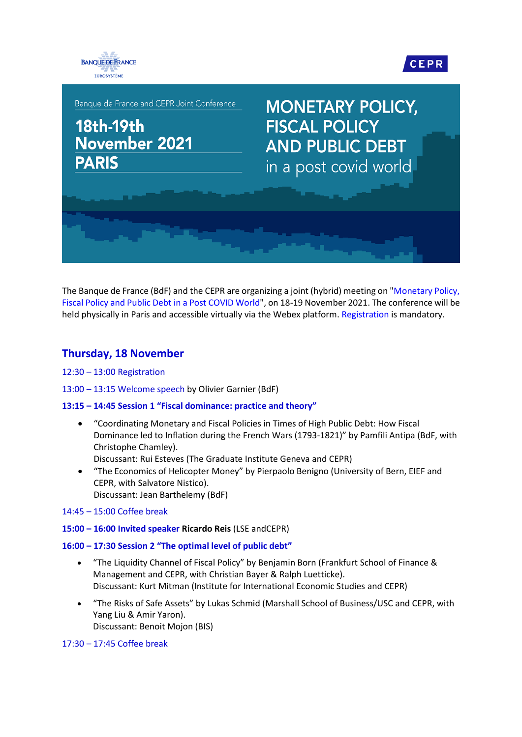



Banque de France and CEPR Joint Conference

# **18th-19th** November 2021 **PARIS**

**MONETARY POLICY, FISCAL POLICY AND PUBLIC DEBT** in a post covid world

The Banque de France (BdF) and the CEPR are organizing a joint (hybrid) meeting on ["Monetary Policy,](https://www.banque-france.fr/en/monetary-policy-fiscal-policy-and-public-debt-post-covid-world)  [Fiscal Policy and Public Debt in a Post COVID World"](https://www.banque-france.fr/en/monetary-policy-fiscal-policy-and-public-debt-post-covid-world), on 18-19 November 2021. The conference will be held physically in Paris and accessible virtually via the Webex platform[. Registration](https://www.banque-france.fr/en/webform/monetary-policy-fiscal-policy-and-public-debt-post-covid-world-november-18-19-2021) is mandatory.

# **Thursday, 18 November**

- 12:30 13:00 Registration
- 13:00 13:15 Welcome speech by Olivier Garnier (BdF)

# **13:15 – 14:45 Session 1 "Fiscal dominance: practice and theory"**

 "Coordinating Monetary and Fiscal Policies in Times of High Public Debt: How Fiscal Dominance led to Inflation during the French Wars (1793-1821)" by Pamfili Antipa (BdF, with Christophe Chamley).

Discussant: Rui Esteves (The Graduate Institute Geneva and CEPR)

- "The Economics of Helicopter Money" by Pierpaolo Benigno (University of Bern, EIEF and CEPR, with Salvatore Nistico). Discussant: Jean Barthelemy (BdF)
- 14:45 15:00 Coffee break
- **15:00 – 16:00 Invited speaker Ricardo Reis** (LSE andCEPR)

## **16:00 – 17:30 Session 2 "The optimal level of public debt"**

- "The Liquidity Channel of Fiscal Policy" by Benjamin Born (Frankfurt School of Finance & Management and CEPR, with Christian Bayer & Ralph Luetticke). Discussant: Kurt Mitman (Institute for International Economic Studies and CEPR)
- "The Risks of Safe Assets" by Lukas Schmid (Marshall School of Business/USC and CEPR, with Yang Liu & Amir Yaron). Discussant: Benoit Mojon (BIS)

## 17:30 – 17:45 Coffee break